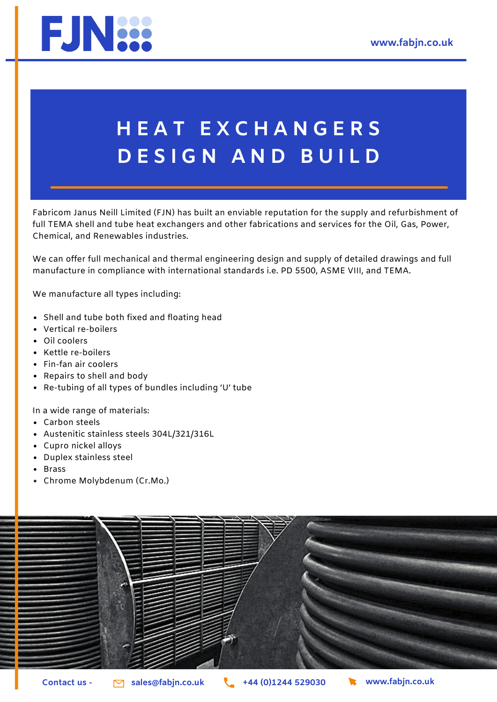

## **H E A T E X C H A N G E R S D E S I G N A N D B U I L D**

Fabricom Janus Neill Limited (FJN) has built an enviable reputation for the supply and refurbishment of full TEMA shell and tube heat exchangers and other fabrications and services for the Oil, Gas, Power, Chemical, and Renewables industries.

We can offer full mechanical and thermal engineering design and supply of detailed drawings and full manufacture in compliance with international standards i.e. PD 5500, ASME VIII, and TEMA.

We manufacture all types including:

- Shell and tube both fixed and floating head
- Vertical re-boilers
- Oil coolers
- Kettle re-boilers
- Fin-fan air coolers
- Repairs to shell and body
- Re-tubing of all types of bundles including 'U' tube

In a wide range of materials:

- Carbon steels
- Austenitic stainless steels 304L/321/316L
- Cupro nickel alloys
- Duplex stainless steel
- Brass
- Chrome Molybdenum (Cr.Mo.)